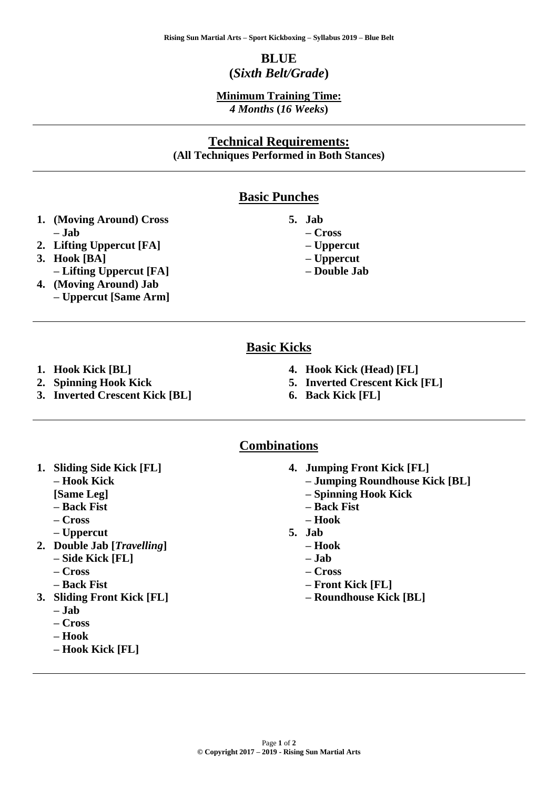# **BLUE (***Sixth Belt/Grade***)**

#### **Minimum Training Time:** *4 Months* **(***16 Weeks***)**

## **Technical Requirements: (All Techniques Performed in Both Stances)**

### **Basic Punches**

- **1. (Moving Around) Cross – Jab**
- **2. Lifting Uppercut [FA]**
- **3. Hook [BA]** 
	- **– Lifting Uppercut [FA]**
- **4. (Moving Around) Jab – Uppercut [Same Arm]**
- **5. Jab** 
	- **– Cross**
	- **– Uppercut**
	- **– Uppercut – Double Jab**
- **Basic Kicks**

- **1. Hook Kick [BL]**
- **2. Spinning Hook Kick**
- **3. Inverted Crescent Kick [BL]**
- **4. Hook Kick (Head) [FL]**
- **5. Inverted Crescent Kick [FL]**
- **6. Back Kick [FL]**

#### **Combinations**

- **1. Sliding Side Kick [FL] – Hook Kick [Same Leg]** 
	- **– Back Fist**
	- **– Cross**
	- **– Uppercut**
- **2. Double Jab [***Travelling***]**
	- **– Side Kick [FL]**
	- **– Cross**
	- **– Back Fist**
- **3. Sliding Front Kick [FL]** 
	- **– Jab**
	- **– Cross**
	- **– Hook**
	- **– Hook Kick [FL]**
- **4. Jumping Front Kick [FL]** 
	- **– Jumping Roundhouse Kick [BL]**
	- **– Spinning Hook Kick**
	- **– Back Fist**
	- **– Hook**
- **5. Jab** 
	- **– Hook**
	- **– Jab**
	- **– Cross**
	- **– Front Kick [FL]**
	- **– Roundhouse Kick [BL]**